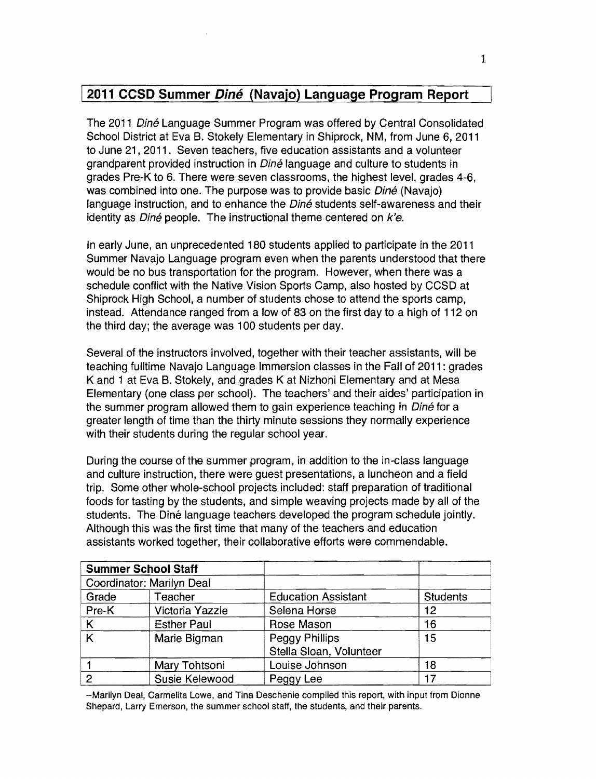# 12011 **CCSD Summer Dine (Navajo) Language Program Report**

The 2011 Diné Language Summer Program was offered by Central Consolidated School District at Eva B. Stokely Elementary in Shiprock, NM, from June 6, 2011 to June 21, 2011. Seven teachers, five education assistants and a volunteer grandparent provided instruction in *Diné* language and culture to students in grades Pre-K to 6. There were seven classrooms, the highest level, grades 4-6, was combined into one. The purpose was to provide basic *Diné* (Navajo) language instruction, and to enhance the Diné students self-awareness and their identity as  $D$ iné people. The instructional theme centered on  $k'e$ .

In early June, an unprecedented 180 students applied to participate in the 2011 Summer Navajo Language program even when the parents understood that there would be no bus transportation for the program. However, when there was a schedule conflict with the Native Vision Sports Camp, also hosted by CCSD at Shiprock High School, a number of students chose to attend the sports camp, instead. Attendance ranged from a low of 83 on the first day to a high of 112 on the third day; the average was 100 students per day.

Several of the instructors involved, together with their teacher assistants, will be teaching fulltime Navajo Language Immersion classes in the Fall of 2011 : grades K and 1 at Eva B. Stokely, and grades K at Nizhoni Elementary and at Mesa Elementary (one class per school). The teachers' and their aides' participation in the summer program allowed them to gain experience teaching in Diné for a greater length of time than the thirty minute sessions they normally experience with their students during the regular school year.

During the course of the summer program, in addition to the in-class language and culture instruction, there were guest presentations, a luncheon and a field trip. Some other whole-school projects included: staff preparation of traditional foods for tasting by the students, and simple weaving projects made by all of the students. The Diné language teachers developed the program schedule jointly. Although this was the first time that many of the teachers and education assistants worked together, their collaborative efforts were commendable.

| <b>Summer School Staff</b> |                    |                            |                 |
|----------------------------|--------------------|----------------------------|-----------------|
| Coordinator: Marilyn Deal  |                    |                            |                 |
| Grade                      | Teacher            | <b>Education Assistant</b> | <b>Students</b> |
| Pre-K                      | Victoria Yazzie    | Selena Horse               | 12              |
| K                          | <b>Esther Paul</b> | Rose Mason                 | 16              |
| Κ                          | Marie Bigman       | Peggy Phillips             | 15              |
|                            |                    | Stella Sloan, Volunteer    |                 |
|                            | Mary Tohtsoni      | Louise Johnson             | 18              |
| 2                          | Susie Kelewood     | Peggy Lee                  | 17              |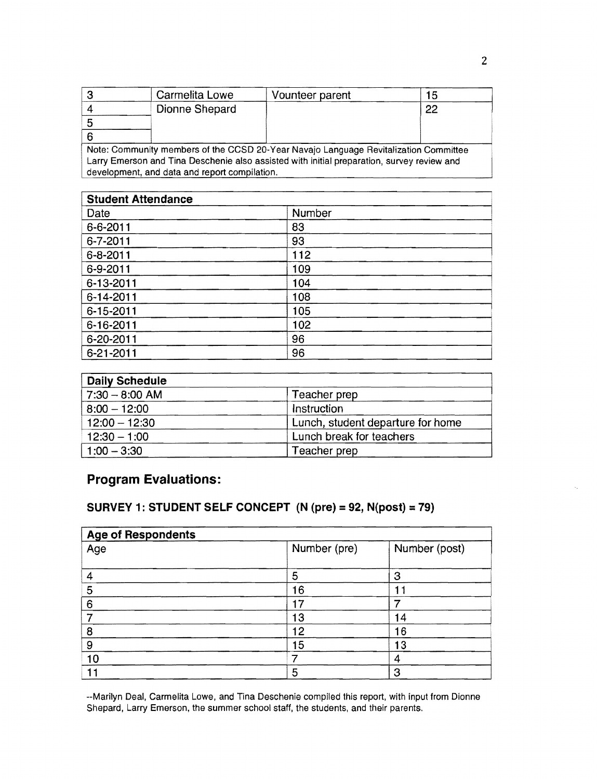|                                                                                            | Carmelita Lowe | Vounteer parent | 15 |  |
|--------------------------------------------------------------------------------------------|----------------|-----------------|----|--|
|                                                                                            | Dionne Shepard |                 | 22 |  |
|                                                                                            |                |                 |    |  |
|                                                                                            |                |                 |    |  |
| Note: Community members of the CCSD 20-Year Navajo Language Revitalization Committee       |                |                 |    |  |
| Larry Emerson and Tina Deschenie also assisted with initial preparation, survey review and |                |                 |    |  |

development, and data and report compilation.

| <b>Student Attendance</b> |        |  |
|---------------------------|--------|--|
| Date                      | Number |  |
| 6-6-2011                  | 83     |  |
| 6-7-2011                  | 93     |  |
| $6 - 8 - 2011$            | 112    |  |
| 6-9-2011                  | 109    |  |
| 6-13-2011                 | 104    |  |
| 6-14-2011                 | 108    |  |
| 6-15-2011                 | 105    |  |
| $6 - 16 - 2011$           | 102    |  |
| 6-20-2011                 | 96     |  |
| 6-21-2011                 | 96     |  |

| <b>Daily Schedule</b> |                                   |
|-----------------------|-----------------------------------|
| $ 7:30 - 8:00$ AM     | Teacher prep                      |
| $  8:00 - 12:00  $    | Instruction                       |
| $12:00 - 12:30$       | Lunch, student departure for home |
| $12:30 - 1:00$        | Lunch break for teachers          |
| $1:00 - 3:30$         | Teacher prep                      |

# Program Evaluations:

# SURVEY 1: STUDENT SELF CONCEPT (N (pre) = 92, N(post) = 79)

| <b>Age of Respondents</b> |              |               |  |
|---------------------------|--------------|---------------|--|
| Age                       | Number (pre) | Number (post) |  |
|                           | 5            | 3             |  |
| 5                         | 16           |               |  |
| 6                         | 7            |               |  |
| →                         | 13           | 14            |  |
| 8                         | 12           | 16            |  |
| 9                         | 15           | 13            |  |
| 10                        |              | -4            |  |
|                           | 5            | 3             |  |

--Marilyn Deal, Carmelita Lowe, and Tina Deschenie compiled this report, with input from Dionne Shepard, Larry Emerson, the summer school staff, the students, and their parents.

 $\overline{\phantom{a}}$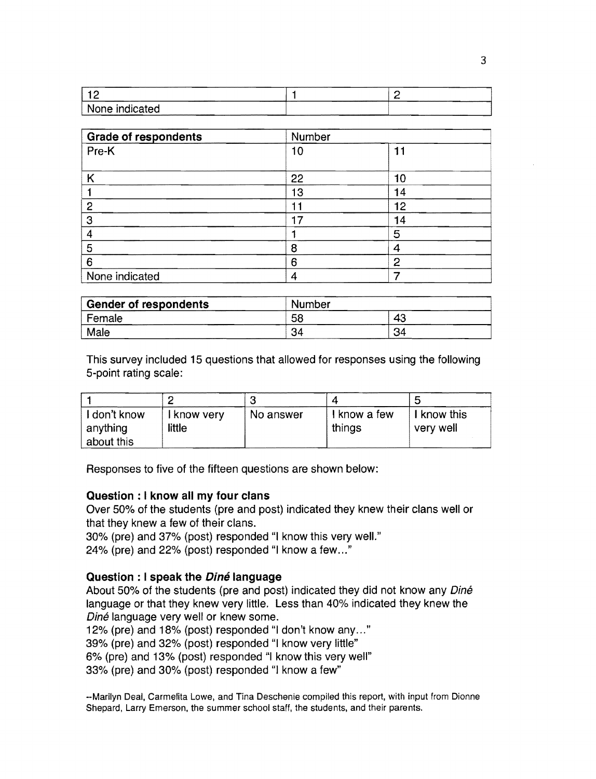| --------<br><br> | ------------<br>-------- |  |
|------------------|--------------------------|--|
| None indicated   | ----------------         |  |

| <b>Grade of respondents</b> | Number |    |  |
|-----------------------------|--------|----|--|
| Pre-K                       | 10     | 11 |  |
| ĸ                           | 22     | 10 |  |
|                             | 13     | 14 |  |
| 2                           |        | 12 |  |
| 3                           | 17     | 14 |  |
| 4                           |        | 5  |  |
| 5                           | 8      | 4  |  |
| 6                           | 6      | 2  |  |
| None indicated              | 4      |    |  |

| <b>Gender of respondents</b><br>Number |    |    |
|----------------------------------------|----|----|
| Female                                 | 58 | 43 |
| Male                                   | 34 | 34 |

This survey included 15 questions that allowed for responses using the following 5-point rating scale:

| I don't know<br>anything | I know very<br>little | No answer | I know a few<br>things | I know this<br>very well |
|--------------------------|-----------------------|-----------|------------------------|--------------------------|
| about this               |                       |           |                        |                          |

Responses to five of the fifteen questions are shown below:

#### **Question: I know all my four clans**

Over 50% of the students (pre and post) indicated they knew their clans well or that they knew a few of their clans.

30% (pre) and 37% (post) responded "I know this very welL"

24% (pre) and 22% (post) responded "I know a few ... "

#### **Question : I speak the Dine language**

About 50% of the students (pre and post) indicated they did not know any Diné language or that they knew very little. Less than 40% indicated they knew the Diné language very well or knew some.

12% (pre) and 18% (post) responded "I don't know any ... "

39% (pre) and 32% (post) responded "I know very little"

6% (pre) and 13% (post) responded "I know this very well"

33% (pre) and 30% (post) responded "I know a few"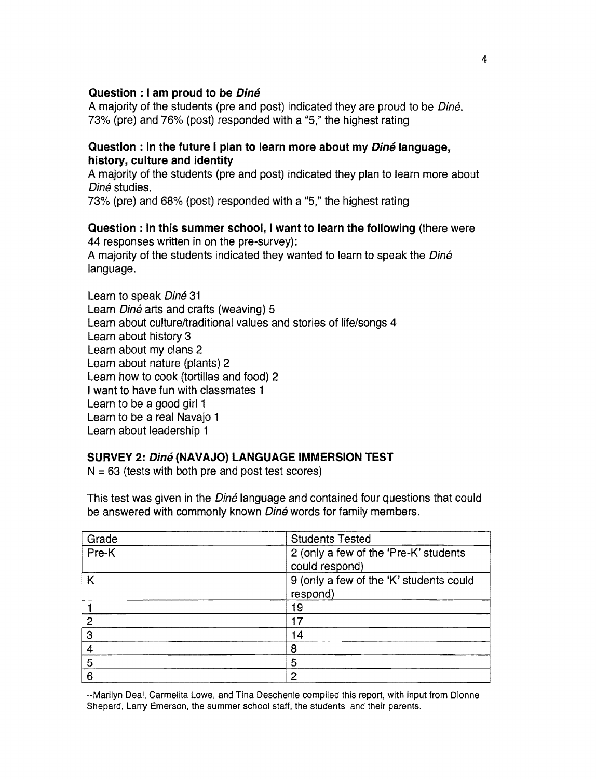## Question : I am proud to be *Diné*

A majority of the students (pre and post) indicated they are proud to be *Diné*. 73% (pre) and 76% (post) responded with a "5," the highest rating

## Question : In the future I plan to learn more about my *Diné* language, history, culture and identity

A majority of the students (pre and post) indicated they plan to learn more about Diné studies.

73% (pre) and 68% (post) responded with a "5," the highest rating

#### Question: In this summer school, I want to learn the following (there were 44 responses written in on the pre-survey):

A majority of the students indicated they wanted to learn to speak the Diné language.

Learn to speak Diné 31 Learn *Diné* arts and crafts (weaving) 5 Learn about culture/traditional values and stories of life/songs 4 Learn about history 3 Learn about my clans 2 Learn about nature (plants) 2 Learn how to cook (tortillas and food) 2 I want to have fun with classmates 1 Learn to be a good girl 1 Learn to be a real Navajo 1 Learn about leadership 1

# SURVEY 2: Diné (NAVAJO) LANGUAGE IMMERSION TEST

 $N = 63$  (tests with both pre and post test scores)

This test was given in the *Diné* language and contained four questions that could be answered with commonly known Diné words for family members.

| Grade | <b>Students Tested</b>                                  |
|-------|---------------------------------------------------------|
| Pre-K | 2 (only a few of the 'Pre-K' students<br>could respond) |
| K     | 9 (only a few of the 'K' students could<br>respond)     |
|       | 19                                                      |
| 2     | 17                                                      |
| 3     | 14                                                      |
| 4     | 8                                                       |
| 5     | 5                                                       |
| 6     | 2                                                       |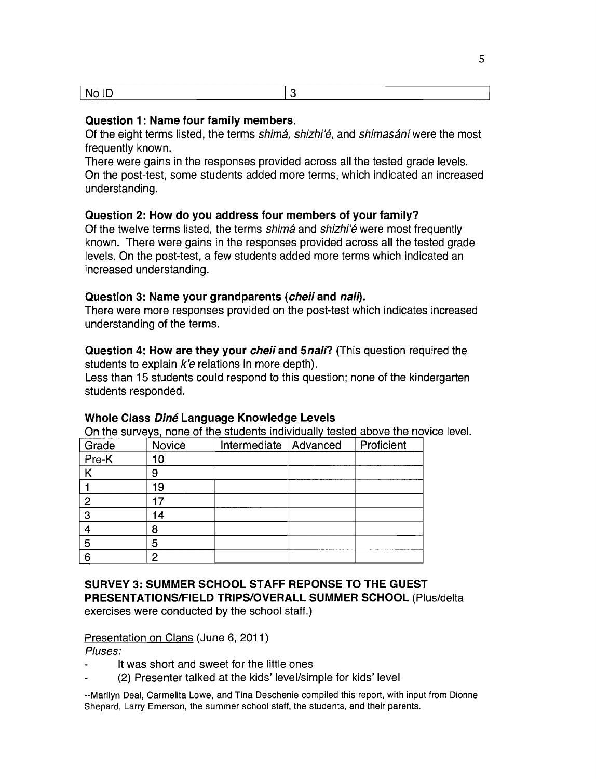| <b>STATISTICS</b><br>____ |  |
|---------------------------|--|

#### Question 1: Name four family members.

Of the eight terms listed, the terms *shimá, shizhi'é*, and *shimasání* were the most frequently known.

There were gains in the responses provided across all the tested grade levels. On the post-test, some students added more terms, which indicated an increased understanding.

#### Question 2: How do you address four members of your family?

Of the twelve terms listed, the terms shimá and shizhi'é were most frequently known. There were gains in the responses provided across all the tested grade levels. On the post-test, a few students added more terms which indicated an increased understanding.

#### Question 3: Name your grandparents (cheil and nall).

There were more responses provided on the post-test which indicates increased understanding of the terms.

Question 4: How are they your *cheii* and 5*nali*? (This question required the students to explain  $k'e$  relations in more depth).

Less than 15 students could respond to this question; none of the kindergarten students responded.

|       | Off the surveys, hone of the students individually tested above the novi |                         |  |            |  |
|-------|--------------------------------------------------------------------------|-------------------------|--|------------|--|
| Grade | <b>Novice</b>                                                            | Intermediate   Advanced |  | Proficient |  |
| Pre-K | 10                                                                       |                         |  |            |  |
|       | 9                                                                        |                         |  |            |  |
|       | 19                                                                       |                         |  |            |  |
| 2     |                                                                          |                         |  |            |  |
| 3     | 14                                                                       |                         |  |            |  |
|       | 8                                                                        |                         |  |            |  |
| 5     | 5                                                                        |                         |  |            |  |
| 6     | 2                                                                        |                         |  |            |  |

#### Whole Class Diné Language Knowledge Levels

an the surveys, none of the students individually tested above the novice level.

#### SURVEY 3: SUMMER SCHOOL STAFF REPONSE TO THE GUEST PRESENTATIONSIFIELD TRIPS/OVERALL SUMMER SCHOOL (Plus/delta exercises were conducted by the school staff.)

#### Presentation on Clans (June 6, 2011)

Pluses:

- It was short and sweet for the little ones
- (2) Presenter talked at the kids' level/simple for kids' level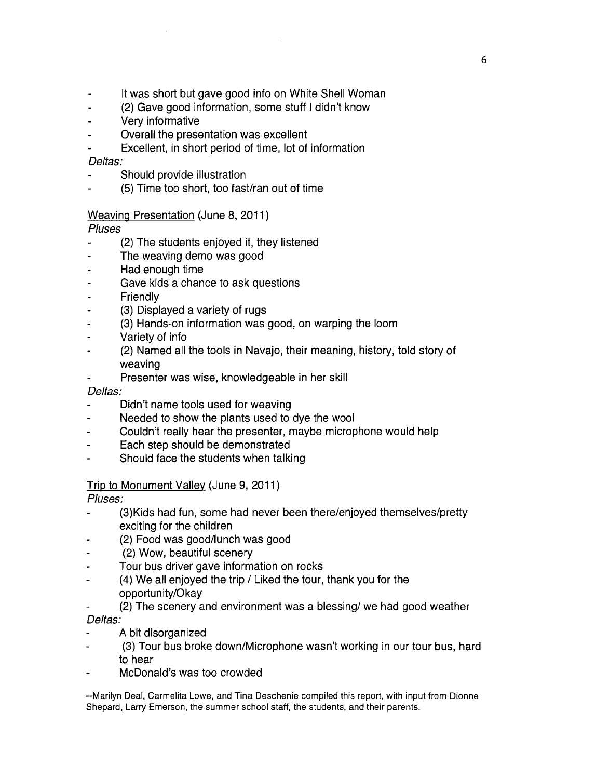- It was short but gave good info on White Shell Woman
- (2) Gave good information, some stuff I didn't know  $\overline{a}$
- Very informative  $\blacksquare$
- Overall the presentation was excellent
- Excellent, in short period of time, lot of information  $\blacksquare$

#### Deltas:

- Should provide illustration
- (5) Time too short, too fast/ran out of time

#### Weaving Presentation (June 8, 2011)

#### Pluses

- $\overline{a}$ (2) The students enjoyed it, they listened
- The weaving demo was good L.
- Had enough time  $\overline{a}$
- Gave kids a chance to ask questions
- Friendly
- (3) Displayed a variety of rugs  $\overline{a}$
- (3) Hands-on information was good, on warping the loom
- Variety of info
- (2) Named all the tools in Navajo, their meaning, history, told story of  $\overline{a}$ weaving
- Presenter was wise, knowledgeable in her skill

#### Deltas:

- Didn't name tools used for weaving
- Needed to show the plants used to dye the wool
- Couldn't really hear the presenter, maybe microphone would help
- Each step should be demonstrated
- Should face the students when talking

#### Trip to Monument Valley (June 9, 2011)

Pluses:

- (3)Kids had fun, some had never been there/enjoyed themselves/pretty exciting for the children
- (2) Food was good/lunch was good
- (2) Wow, beautiful scenery
- Tour bus driver gave information on rocks
- (4) We all enjoyed the trip / Liked the tour, thank you for the opportunity/Okay
- (2) The scenery and environment was a blessing/ we had good weather Deltas:
- A bit disorganized
- (3) Tour bus broke down/Microphone wasn't working in our tour bus, hard to hear
- McDonald's was too crowded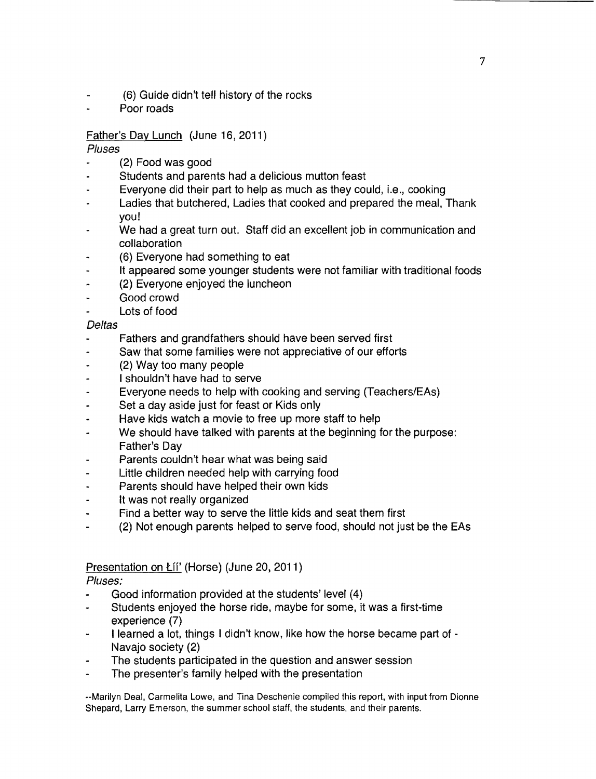- (6) Guide didn't tell history of the rocks
- Poor roads

# Father's Day Lunch (June 16, 2011)

## Pluses

- (2) Food was good
- Students and parents had a delicious mutton feast
- Everyone did their part to help as much as they could, i.e., cooking
- Ladies that butchered, Ladies that cooked and prepared the meal, Thank you!
- We had a great turn out. Staff did an excellent job in communication and collaboration
- (6) Everyone had something to eat
- It appeared some younger students were not familiar with traditional foods
- (2) Everyone enjoyed the luncheon
- Good crowd
- Lots of food

## Deltas

- Fathers and grandfathers should have been served first
- Saw that some families were not appreciative of our efforts
- (2) Way *too* many people
- I shouldn't have had to serve
- Everyone needs to help with cooking and serving (Teachers/EAs)  $\blacksquare$
- Set a day aside just for feast or Kids only
- Have kids watch a movie to free up more staff to help
- We should have talked with parents at the beginning for the purpose: Father's Day
- Parents couldn't hear what was being said
- Little children needed help with carrying food
- Parents should have helped their own kids
- It was not really organized  $\bullet$
- Find a better way to serve the little kids and seat them first
- (2) Not enough parents helped to serve food, should not just be the EAs  $\ddot{\phantom{a}}$

# Presentation on Lii' (Horse) (June 20, 2011)

# Pluses:

- Good information provided at the students' level (4)
- Students enjoyed the horse ride, maybe for some, it was a first-time experience (7)
- I learned a lot, things I didn't know, like how the horse became part of -Navajo SOciety (2)
- The students participated in the question and answer session
- The presenter's family helped with the presentation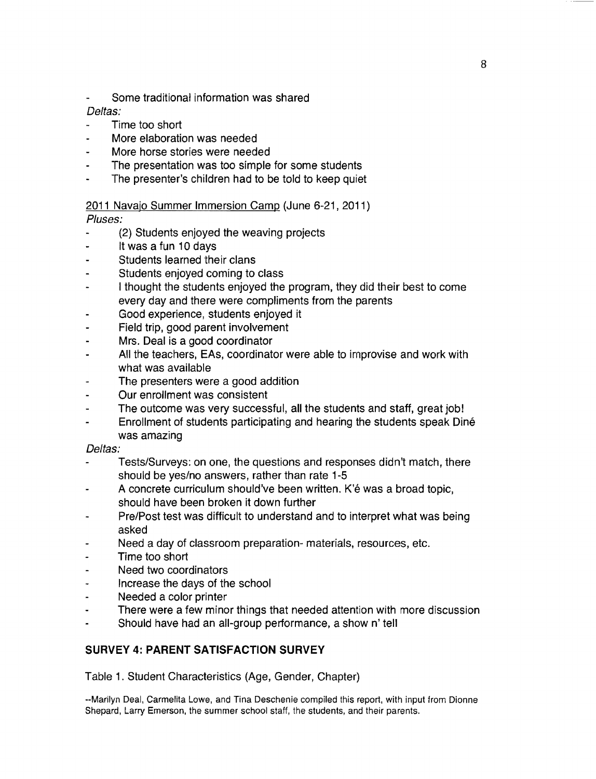Some traditional information was shared

# Deltas:

- Time too short
- More elaboration was needed
- More horse stories were needed
- The presentation was too simple for some students
- The presenter's children had to be told to keep quiet

# 2011 Navajo Summer Immersion Camp (June 6-21, 2011)

Pluses:

- (2) Students enjoyed the weaving projects
- It was a fun 10 days  $\ddot{\phantom{0}}$
- Students learned their clans
- Students enjoyed coming to class
- I thought the students enjoyed the program, they did their best to come every day and there were compliments from the parents
- Good experience, students enjoyed it
- Field trip, good parent involvement
- Mrs. Deal is a good coordinator
- All the teachers, EAs, coordinator were able to improvise and work with what was available
- The presenters were a good addition
- Our enrollment was consistent
- The outcome was very successful, all the students and staff, great jobl
- Enrollment of students participating and hearing the students speak Dine was amazing

#### Deltas:

- Tests/Surveys: on one, the questions and responses didn't match, there should be yes/no answers, rather than rate 1-5
- A concrete curriculum should've been written. K'é was a broad topic, should have been broken it down further
- Pre/Post test was difficult to understand and to interpret what was being asked
- Need a day of classroom preparation- materials, resources, etc.
- Time too short
- Need two coordinators
- Increase the days of the school
- Needed a color printer
- There were a few minor things that needed attention with more discussion  $\ddot{\phantom{a}}$
- Should have had an all-group performance, a show n' tell

# **SURVEY 4: PARENT SATISFACTION SURVEY**

Table 1. Student Characteristics (Age, Gender, Chapter)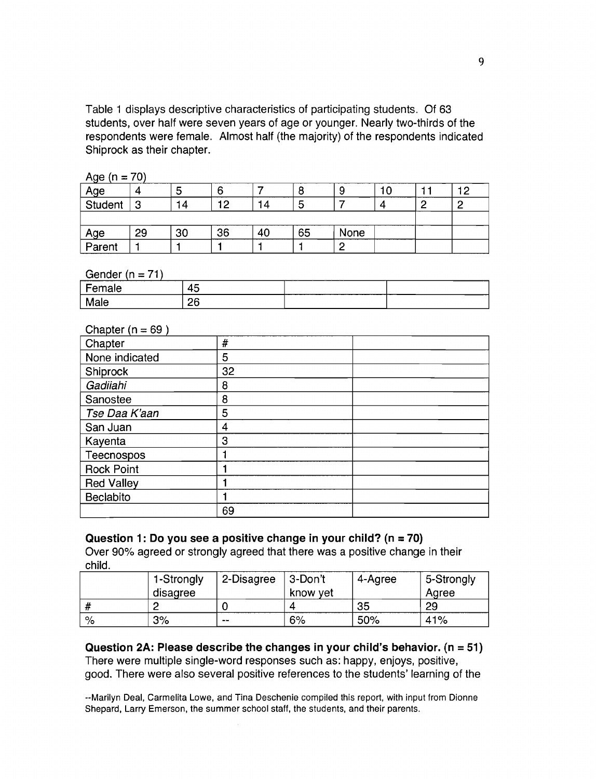Table 1 displays descriptive characteristics of participating students. Of 63 students, over half were seven years of age or younger. Nearly two-thirds of the respondents were female. Almost half (the majority) of the respondents indicated Shiprock as their chapter.

| Age $(n = 70)$ |
|----------------|
|----------------|

| Age           |        | Э  |    |    |    |      |  | מ ו |
|---------------|--------|----|----|----|----|------|--|-----|
| Student       | ◠<br>ت | 14 | 10 |    | ೦  |      |  |     |
|               |        |    |    |    |    |      |  |     |
|               | 29     | 30 | 36 | 40 | 65 | None |  |     |
| Age<br>Parent |        |    |    |    |    |      |  |     |

Gender ( $n = 71$ )

| emale<br>. . | . .<br>45 |  |
|--------------|-----------|--|
| Male         | 26        |  |

#### Chapter  $(n = 69)$

| Chapter           | #  |  |
|-------------------|----|--|
| None indicated    | 5  |  |
| Shiprock          | 32 |  |
| Gadiiahi          | 8  |  |
| Sanostee          | 8  |  |
| Tse Daa K'aan     | 5  |  |
| San Juan          | 4  |  |
| Kayenta           | 3  |  |
| Teecnospos        |    |  |
| <b>Rock Point</b> |    |  |
| <b>Red Valley</b> |    |  |
| <b>Beclabito</b>  |    |  |
|                   | 69 |  |

#### Question 1: Do you see a positive change in your child?  $(n = 70)$ Over 90% agreed or strongly agreed that there was a positive change in their child.

|   | 1-Strongly | 2-Disagree | 3-Don't  | 4-Agree | 5-Strongly |
|---|------------|------------|----------|---------|------------|
|   | disagree   |            | know yet |         | Aaree      |
|   |            |            |          | 35      | 29         |
| % | 3%         | --         | 6%       | 50%     | 41%        |

# Question 2A: Please describe the changes in your child's behavior.  $(n = 51)$ There were multiple single-word responses such as: happy, enjoys, positive,

good. There were also several positive references to the students' learning of the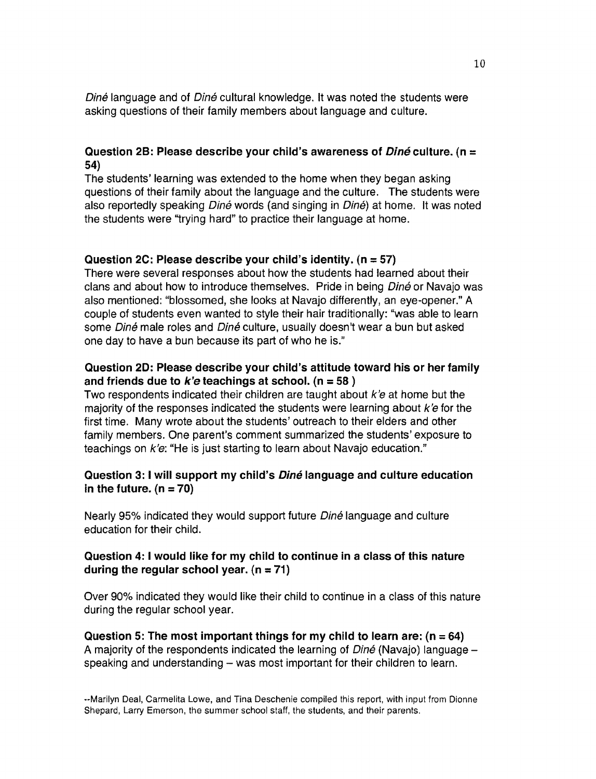Diné language and of Diné cultural knowledge. It was noted the students were asking questions of their family members about language and culture.

## Question 2B: Please describe your child's awareness of  $Diné$  culture. (n = 54)

The students' learning was extended to the home when they began asking questions of their family about the language and the culture. The students were also reportedly speaking Diné words (and singing in Diné) at home. It was noted the students were "trying hard" to practice their language at home.

#### Question 2C: Please describe your child's identity. (n =57)

There were several responses about how the students had learned about their clans and about how to introduce themselves. Pride in being Diné or Navajo was also mentioned: "blossomed, she looks at Navajo differently, an eye-opener." A couple of students even wanted to style their hair traditionally: "was able to learn some Diné male roles and Diné culture, usually doesn't wear a bun but asked one day to have a bun because its part of who he is."

## Question 20: Please describe your child's attitude toward his or her family and friends due to  $k'e$  teachings at school. (n = 58)

Two respondents indicated their children are taught about  $k'e$  at home but the majority of the responses indicated the students were learning about  $k'e$  for the first time. Many wrote about the students' outreach to their elders and other family members. One parent's comment summarized the students' exposure to teachings on k'e: "He is just starting to learn about Navajo education."

#### Question 3: I will support my child's *Diné* language and culture education in the future.  $(n = 70)$

Nearly 95% indicated they would support future *Diné* language and culture education for their child.

#### Question 4: I would like for my child to continue in a class of this nature during the regular school year.  $(n = 71)$

Over 90% indicated they would like their child to continue in a class of this nature during the regular school year.

Question 5: The most important things for my child to learn are:  $(n = 64)$ A majority of the respondents indicated the learning of  $Diné$  (Navajo) language  $$ speaking and understanding – was most important for their children to learn.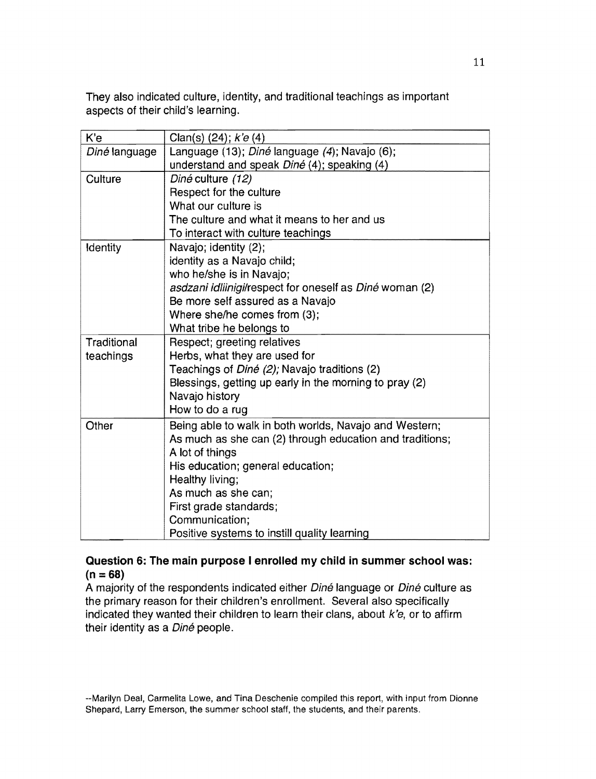They also indicated culture, identity, and traditional teachings as important aspects of their child's learning.

| K'e           | Clan(s) (24); k'e (4)                                    |
|---------------|----------------------------------------------------------|
| Diné language | Language (13); Diné language (4); Navajo (6);            |
|               | understand and speak Diné (4); speaking (4)              |
| Culture       | Diné culture (12)                                        |
|               | Respect for the culture                                  |
|               | What our culture is                                      |
|               | The culture and what it means to her and us              |
|               | To interact with culture teachings                       |
| Identity      | Navajo; identity (2);                                    |
|               | identity as a Navajo child;                              |
|               | who he/she is in Navajo;                                 |
|               | asdzani idliinigi/respect for oneself as Diné woman (2)  |
|               | Be more self assured as a Navajo                         |
|               | Where she/he comes from (3);                             |
|               | What tribe he belongs to                                 |
| Traditional   | Respect; greeting relatives                              |
| teachings     | Herbs, what they are used for                            |
|               | Teachings of <i>Diné (2);</i> Navajo traditions (2)      |
|               | Blessings, getting up early in the morning to pray (2)   |
|               | Navajo history                                           |
|               | How to do a rug                                          |
| Other         | Being able to walk in both worlds, Navajo and Western;   |
|               | As much as she can (2) through education and traditions; |
|               | A lot of things                                          |
|               | His education; general education;                        |
|               | Healthy living;                                          |
|               | As much as she can;                                      |
|               | First grade standards;                                   |
|               | Communication;                                           |
|               | Positive systems to instill quality learning             |

# Question 6: The main purpose I enrolled my child in summer school was:  $(n = 68)$

A majority of the respondents indicated either Diné language or Diné culture as the primary reason for their children's enrollment. Several also specifically indicated they wanted their children to learn their clans, about  $k'e$ , or to affirm their identity as a Diné people.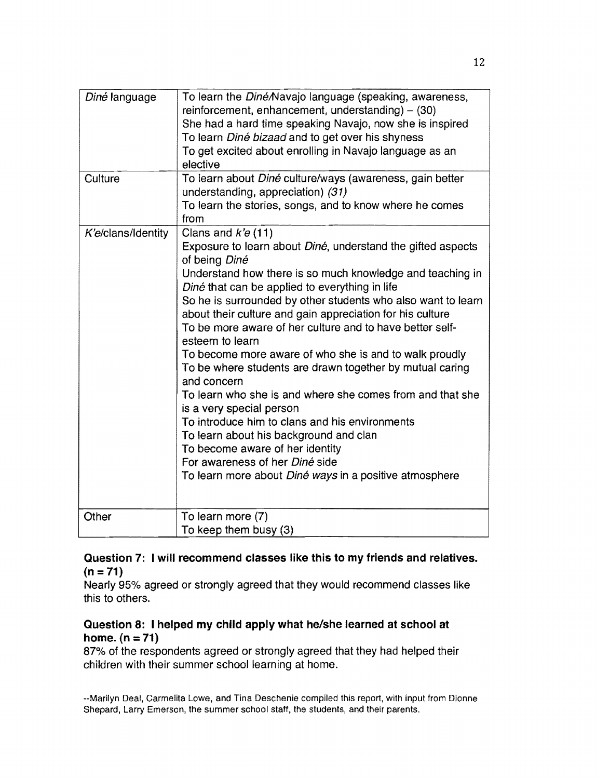| Diné language      | To learn the Diné/Navajo language (speaking, awareness,<br>reinforcement, enhancement, understanding) $-$ (30)<br>She had a hard time speaking Navajo, now she is inspired<br>To learn Diné bizaad and to get over his shyness<br>To get excited about enrolling in Navajo language as an<br>elective                                                                                                                                                                                                                                                                                                                                                                                                                                                                                                                                                                                          |
|--------------------|------------------------------------------------------------------------------------------------------------------------------------------------------------------------------------------------------------------------------------------------------------------------------------------------------------------------------------------------------------------------------------------------------------------------------------------------------------------------------------------------------------------------------------------------------------------------------------------------------------------------------------------------------------------------------------------------------------------------------------------------------------------------------------------------------------------------------------------------------------------------------------------------|
| Culture            | To learn about Diné culture/ways (awareness, gain better<br>understanding, appreciation) (31)<br>To learn the stories, songs, and to know where he comes<br>from                                                                                                                                                                                                                                                                                                                                                                                                                                                                                                                                                                                                                                                                                                                               |
| K'e/clans/Identity | Clans and $k'e(11)$<br>Exposure to learn about Diné, understand the gifted aspects<br>of being Diné<br>Understand how there is so much knowledge and teaching in<br>Diné that can be applied to everything in life<br>So he is surrounded by other students who also want to learn<br>about their culture and gain appreciation for his culture<br>To be more aware of her culture and to have better self-<br>esteem to learn<br>To become more aware of who she is and to walk proudly<br>To be where students are drawn together by mutual caring<br>and concern<br>To learn who she is and where she comes from and that she<br>is a very special person<br>To introduce him to clans and his environments<br>To learn about his background and clan<br>To become aware of her identity<br>For awareness of her Diné side<br>To learn more about <i>Diné ways</i> in a positive atmosphere |
| Other              | To learn more (7)<br>To keep them busy (3)                                                                                                                                                                                                                                                                                                                                                                                                                                                                                                                                                                                                                                                                                                                                                                                                                                                     |

## Question 7: I will recommend classes like this to my friends and relatives.  $(n = 71)$

Nearly 95% agreed or strongly agreed that they would recommend classes like this to others.

# Question 8: I helped my child apply what he/she learned at school at  $home. (n = 71)$

87% of the respondents agreed or strongly agreed that they had helped their children with their summer school learning at home.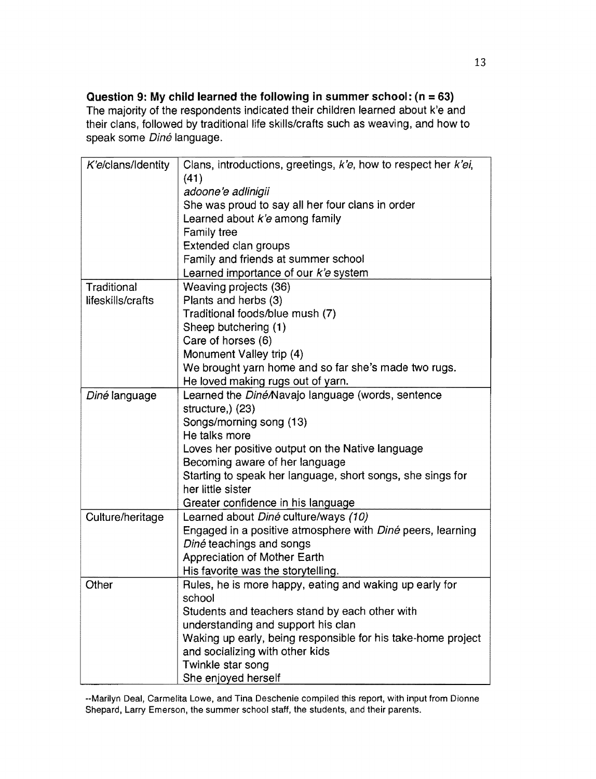**Question 9: My child learned the following in summer school: (n = 63)** The majority of the respondents indicated their children learned about k'e and their clans, followed by traditional life skills/crafts such as weaving, and how to speak some Diné language.

| K'e/clans/Identity | Clans, introductions, greetings, k'e, how to respect her k'ei,    |
|--------------------|-------------------------------------------------------------------|
|                    | (41)                                                              |
|                    | adoone'e adlinigii                                                |
|                    | She was proud to say all her four clans in order                  |
|                    | Learned about k'e among family                                    |
|                    | Family tree                                                       |
|                    | Extended clan groups                                              |
|                    | Family and friends at summer school                               |
|                    | Learned importance of our k'e system                              |
| Traditional        | Weaving projects (36)                                             |
| lifeskills/crafts  | Plants and herbs (3)                                              |
|                    | Traditional foods/blue mush (7)                                   |
|                    | Sheep butchering (1)                                              |
|                    | Care of horses (6)                                                |
|                    | Monument Valley trip (4)                                          |
|                    | We brought yarn home and so far she's made two rugs.              |
|                    | He loved making rugs out of yarn.                                 |
| Diné language      | Learned the <i>Diné/Navajo language (words, sentence</i>          |
|                    | structure,) (23)                                                  |
|                    | Songs/morning song (13)                                           |
|                    | He talks more                                                     |
|                    | Loves her positive output on the Native language                  |
|                    | Becoming aware of her language                                    |
|                    | Starting to speak her language, short songs, she sings for        |
|                    | her little sister                                                 |
|                    | Greater confidence in his language                                |
| Culture/heritage   | Learned about Diné culture/ways (10)                              |
|                    | Engaged in a positive atmosphere with <i>Diné</i> peers, learning |
|                    | Diné teachings and songs                                          |
|                    | <b>Appreciation of Mother Earth</b>                               |
|                    | His favorite was the storytelling.                                |
| Other              | Rules, he is more happy, eating and waking up early for           |
|                    | school                                                            |
|                    | Students and teachers stand by each other with                    |
|                    | understanding and support his clan                                |
|                    | Waking up early, being responsible for his take-home project      |
|                    | and socializing with other kids                                   |
|                    | Twinkle star song                                                 |
|                    | She enjoyed herself                                               |